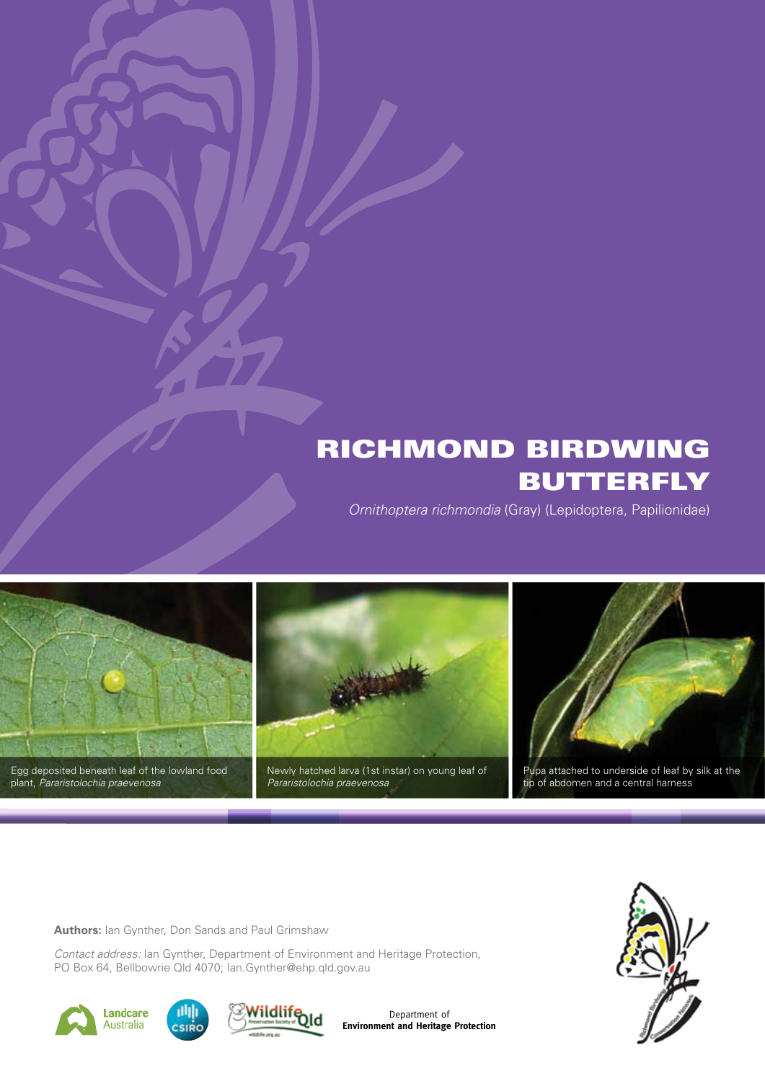# RICHMOND BIRDWING **BUTTERFLY**

*Ornithoptera richmondia* (Gray) (Lepidoptera, Papilionidae)



**Authors:** Ian Gynther, Don Sands and Paul Grimshaw

*Contact address:* Ian Gynther, Department of Environment and Heritage Protection, PO Box 64, Bellbowrie Qld 4070; Ian.Gynther@ehp.qld.gov.au







Department of **Environment and Heritage Protection**

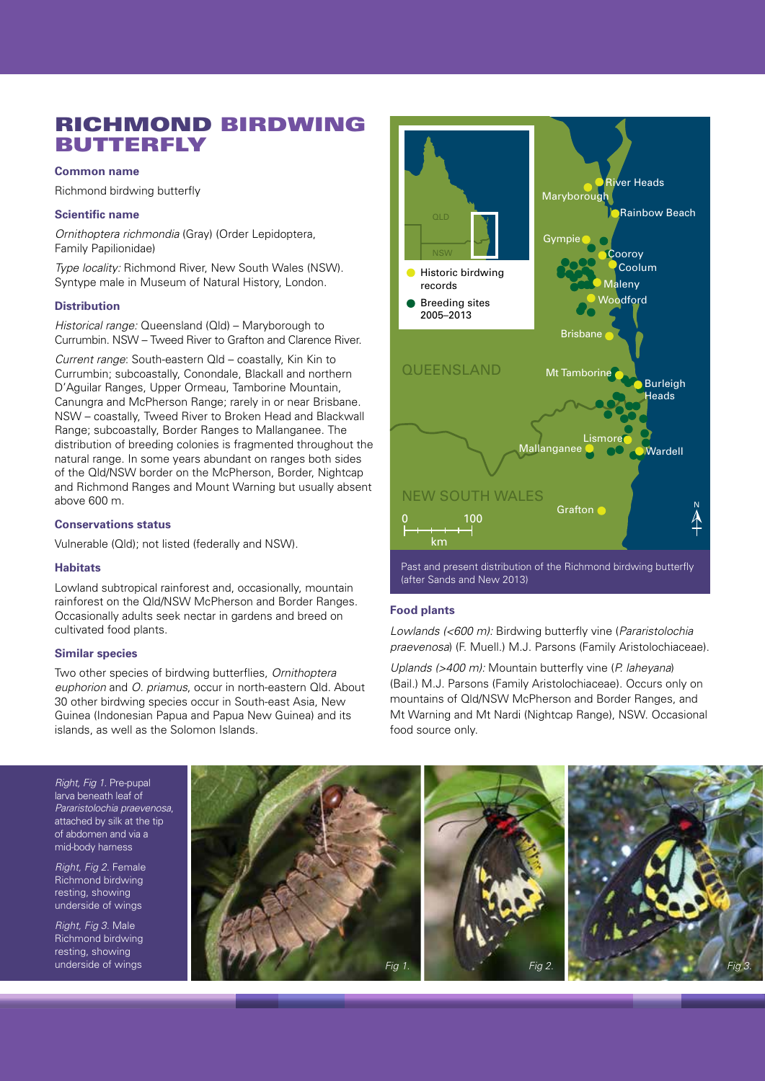# RICHMOND BIRDWING BUTTERFLY

# **Common name**

Richmond birdwing butterfly

# **Scientific name**

*Ornithoptera richmondia* (Gray) (Order Lepidoptera, Family Papilionidae)

*Type locality:* Richmond River, New South Wales (NSW). Syntype male in Museum of Natural History, London.

# **Distribution**

*Historical range:* Queensland (Qld) – Maryborough to Currumbin. NSW – Tweed River to Grafton and Clarence River.

*Current range*: South-eastern Qld – coastally, Kin Kin to Currumbin; subcoastally, Conondale, Blackall and northern D'Aguilar Ranges, Upper Ormeau, Tamborine Mountain, Canungra and McPherson Range; rarely in or near Brisbane. NSW – coastally, Tweed River to Broken Head and Blackwall Range; subcoastally, Border Ranges to Mallanganee. The distribution of breeding colonies is fragmented throughout the natural range. In some years abundant on ranges both sides of the Old/NSW border on the McPherson, Border, Nightcap and Richmond Ranges and Mount Warning but usually absent above 600 m.

# **Conservations status**

Vulnerable (Qld); not listed (federally and NSW).

# **Habitats**

Lowland subtropical rainforest and, occasionally, mountain rainforest on the Qld/NSW McPherson and Border Ranges. Occasionally adults seek nectar in gardens and breed on cultivated food plants.

# **Similar species**

Two other species of birdwing butterflies, *Ornithoptera euphorion* and *O. priamus*, occur in north-eastern Qld. About 30 other birdwing species occur in South-east Asia, New Guinea (Indonesian Papua and Papua New Guinea) and its islands, as well as the Solomon Islands.



# **Food plants**

*Lowlands (<600 m):* Birdwing butterfly vine (*Pararistolochia praevenosa*) (F. Muell.) M.J. Parsons (Family Aristolochiaceae).

*Uplands (>400 m):* Mountain butterfly vine (*P. laheyana*) (Bail.) M.J. Parsons (Family Aristolochiaceae). Occurs only on mountains of Qld/NSW McPherson and Border Ranges, and Mt Warning and Mt Nardi (Nightcap Range), NSW. Occasional food source only.

*Right, Fig 1.* Pre-pupal larva beneath leaf of *Pararistolochia praevenosa*, attached by silk at the tip of abdomen and via a mid-body harness

*Right, Fig 2.* Female Richmond birdwing resting, showing underside of wings

*Right, Fig 3.* Male Richmond birdwing resting, showing

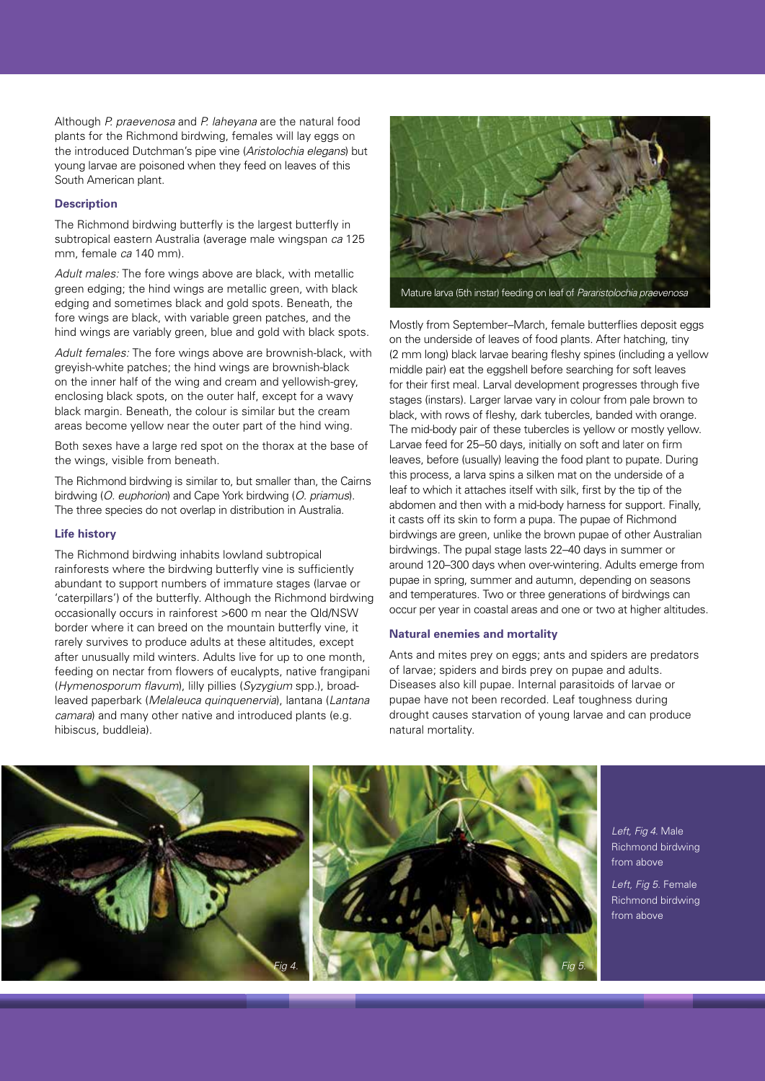Although *P. praevenosa* and *P. laheyana* are the natural food plants for the Richmond birdwing, females will lay eggs on the introduced Dutchman's pipe vine (*Aristolochia elegans*) but young larvae are poisoned when they feed on leaves of this South American plant.

# **Description**

The Richmond birdwing butterfly is the largest butterfly in subtropical eastern Australia (average male wingspan *ca* 125 mm, female *ca* 140 mm).

*Adult males:* The fore wings above are black, with metallic green edging; the hind wings are metallic green, with black edging and sometimes black and gold spots. Beneath, the fore wings are black, with variable green patches, and the hind wings are variably green, blue and gold with black spots.

*Adult females:* The fore wings above are brownish-black, with greyish-white patches; the hind wings are brownish-black on the inner half of the wing and cream and yellowish-grey, enclosing black spots, on the outer half, except for a wavy black margin. Beneath, the colour is similar but the cream areas become yellow near the outer part of the hind wing.

Both sexes have a large red spot on the thorax at the base of the wings, visible from beneath.

The Richmond birdwing is similar to, but smaller than, the Cairns birdwing (*O. euphorion*) and Cape York birdwing (*O. priamus*). The three species do not overlap in distribution in Australia.

#### **Life history**

The Richmond birdwing inhabits lowland subtropical rainforests where the birdwing butterfly vine is sufficiently abundant to support numbers of immature stages (larvae or 'caterpillars') of the butterfly. Although the Richmond birdwing occasionally occurs in rainforest >600 m near the Qld/NSW border where it can breed on the mountain butterfly vine, it rarely survives to produce adults at these altitudes, except after unusually mild winters. Adults live for up to one month, feeding on nectar from flowers of eucalypts, native frangipani (*Hymenosporum flavum*), lilly pillies (*Syzygium* spp.), broadleaved paperbark (*Melaleuca quinquenervia*), lantana (*Lantana camara*) and many other native and introduced plants (e.g. hibiscus, buddleia).



Mature larva (5th instar) feeding on leaf of *Pararistolochia praevenosa*

Mostly from September–March, female butterflies deposit eggs on the underside of leaves of food plants. After hatching, tiny (2 mm long) black larvae bearing fleshy spines (including a yellow middle pair) eat the eggshell before searching for soft leaves for their first meal. Larval development progresses through five stages (instars). Larger larvae vary in colour from pale brown to black, with rows of fleshy, dark tubercles, banded with orange. The mid-body pair of these tubercles is yellow or mostly yellow. Larvae feed for 25–50 days, initially on soft and later on firm leaves, before (usually) leaving the food plant to pupate. During this process, a larva spins a silken mat on the underside of a leaf to which it attaches itself with silk, first by the tip of the abdomen and then with a mid-body harness for support. Finally, it casts off its skin to form a pupa. The pupae of Richmond birdwings are green, unlike the brown pupae of other Australian birdwings. The pupal stage lasts 22–40 days in summer or around 120–300 days when over-wintering. Adults emerge from pupae in spring, summer and autumn, depending on seasons and temperatures. Two or three generations of birdwings can occur per year in coastal areas and one or two at higher altitudes.

# **Natural enemies and mortality**

Ants and mites prey on eggs; ants and spiders are predators of larvae; spiders and birds prey on pupae and adults. Diseases also kill pupae. Internal parasitoids of larvae or pupae have not been recorded. Leaf toughness during drought causes starvation of young larvae and can produce natural mortality.



*Left, Fig 4.* Male Richmond birdwing from above

*Left, Fig 5.* Female Richmond birdwing from above